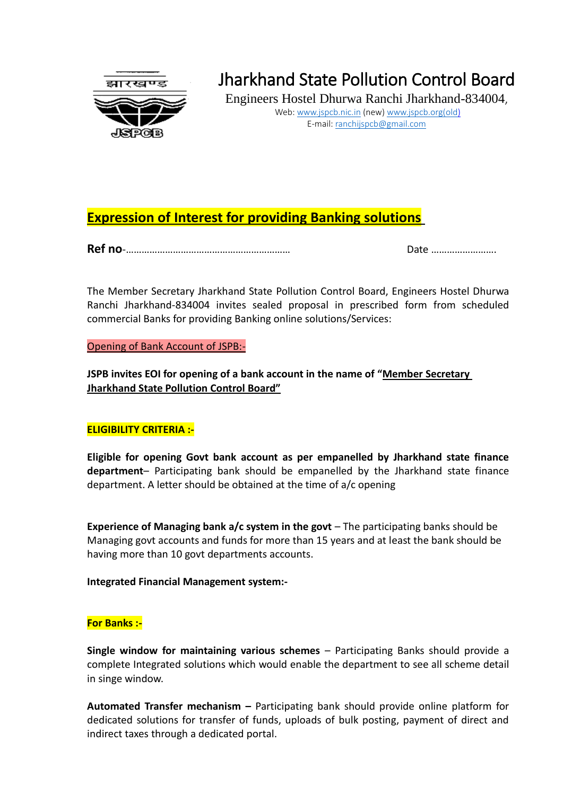

# Jharkhand State Pollution Control Board

Engineers Hostel Dhurwa Ranchi Jharkhand-834004, Web: [www.jspcb.nic.in](http://www.jspcb.nic.in/) (new) www.jspcb.org(old) E-mail: [ranchijspcb@gmail.com](mailto:ranchijspcb@gmail.com)

## **Expression of Interest for providing Banking solutions**

**Ref no**-……………………………………………………… Date …………………….

The Member Secretary Jharkhand State Pollution Control Board, Engineers Hostel Dhurwa Ranchi Jharkhand-834004 invites sealed proposal in prescribed form from scheduled commercial Banks for providing Banking online solutions/Services:

Opening of Bank Account of JSPB:-

**JSPB invites EOI for opening of a bank account in the name of "Member Secretary Jharkhand State Pollution Control Board"**

#### **ELIGIBILITY CRITERIA :-**

**Eligible for opening Govt bank account as per empanelled by Jharkhand state finance department**– Participating bank should be empanelled by the Jharkhand state finance department. A letter should be obtained at the time of a/c opening

**Experience of Managing bank a/c system in the govt** – The participating banks should be Managing govt accounts and funds for more than 15 years and at least the bank should be having more than 10 govt departments accounts.

**Integrated Financial Management system:-**

#### **For Banks :-**

**Single window for maintaining various schemes** – Participating Banks should provide a complete Integrated solutions which would enable the department to see all scheme detail in singe window.

**Automated Transfer mechanism –** Participating bank should provide online platform for dedicated solutions for transfer of funds, uploads of bulk posting, payment of direct and indirect taxes through a dedicated portal.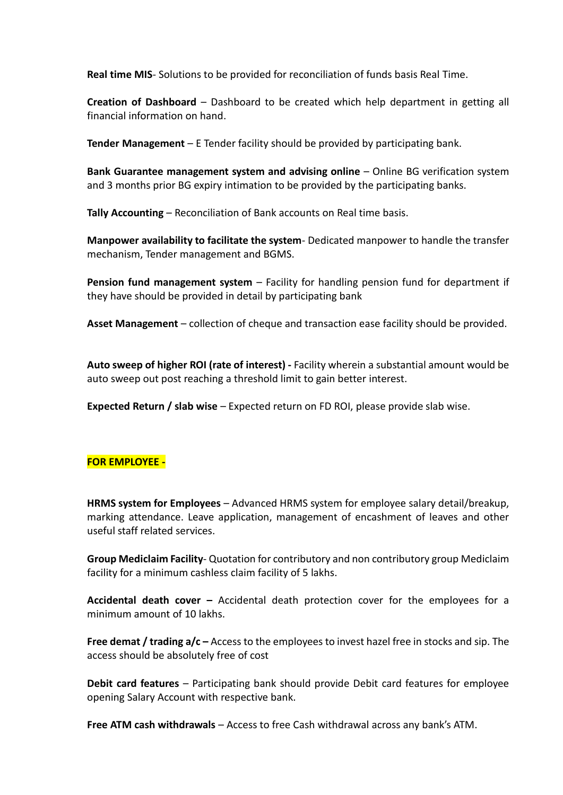**Real time MIS**- Solutions to be provided for reconciliation of funds basis Real Time.

**Creation of Dashboard** – Dashboard to be created which help department in getting all financial information on hand.

**Tender Management** – E Tender facility should be provided by participating bank.

**Bank Guarantee management system and advising online** – Online BG verification system and 3 months prior BG expiry intimation to be provided by the participating banks.

**Tally Accounting** – Reconciliation of Bank accounts on Real time basis.

**Manpower availability to facilitate the system**- Dedicated manpower to handle the transfer mechanism, Tender management and BGMS.

**Pension fund management system** – Facility for handling pension fund for department if they have should be provided in detail by participating bank

**Asset Management** – collection of cheque and transaction ease facility should be provided.

**Auto sweep of higher ROI (rate of interest) -** Facility wherein a substantial amount would be auto sweep out post reaching a threshold limit to gain better interest.

**Expected Return / slab wise** – Expected return on FD ROI, please provide slab wise.

#### **FOR EMPLOYEE -**

**HRMS system for Employees** – Advanced HRMS system for employee salary detail/breakup, marking attendance. Leave application, management of encashment of leaves and other useful staff related services.

**Group Mediclaim Facility**- Quotation for contributory and non contributory group Mediclaim facility for a minimum cashless claim facility of 5 lakhs.

**Accidental death cover –** Accidental death protection cover for the employees for a minimum amount of 10 lakhs.

**Free demat / trading a/c –** Access to the employees to invest hazel free in stocks and sip. The access should be absolutely free of cost

**Debit card features** – Participating bank should provide Debit card features for employee opening Salary Account with respective bank.

**Free ATM cash withdrawals** – Access to free Cash withdrawal across any bank's ATM.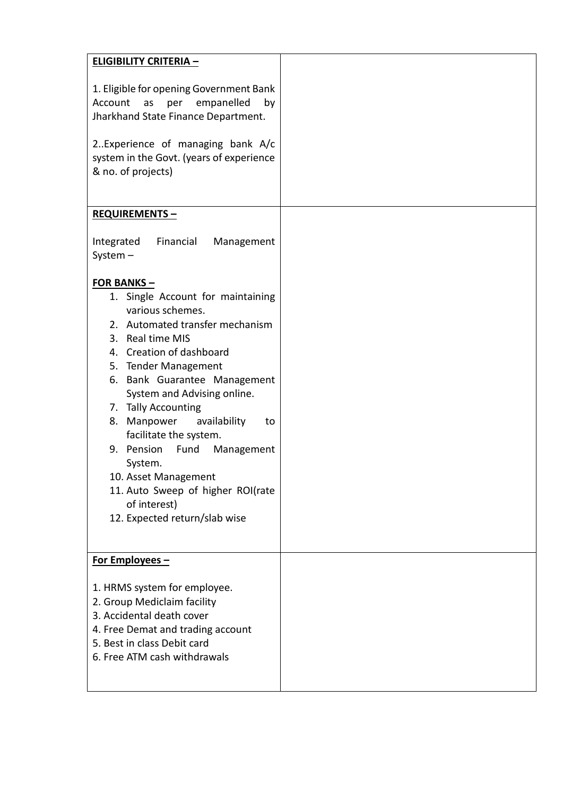| <b>ELIGIBILITY CRITERIA -</b>                                                                                                                                                                                                                                                                                                                                                                                                                                                      |  |
|------------------------------------------------------------------------------------------------------------------------------------------------------------------------------------------------------------------------------------------------------------------------------------------------------------------------------------------------------------------------------------------------------------------------------------------------------------------------------------|--|
| 1. Eligible for opening Government Bank<br>empanelled<br>Account<br>as<br>per<br>by<br>Jharkhand State Finance Department.<br>2Experience of managing bank A/c<br>system in the Govt. (years of experience<br>& no. of projects)                                                                                                                                                                                                                                                   |  |
| <b>REQUIREMENTS-</b>                                                                                                                                                                                                                                                                                                                                                                                                                                                               |  |
| Financial<br>Integrated<br>Management<br>System $-$<br><b>FOR BANKS-</b>                                                                                                                                                                                                                                                                                                                                                                                                           |  |
| 1. Single Account for maintaining<br>various schemes.<br>2. Automated transfer mechanism<br>3. Real time MIS<br>4. Creation of dashboard<br>5. Tender Management<br>6. Bank Guarantee Management<br>System and Advising online.<br>7. Tally Accounting<br>8. Manpower<br>availability<br>to<br>facilitate the system.<br>9. Pension<br>Fund<br>Management<br>System.<br>10. Asset Management<br>11. Auto Sweep of higher ROI(rate<br>of interest)<br>12. Expected return/slab wise |  |
| For Employees -<br>1. HRMS system for employee.<br>2. Group Mediclaim facility<br>3. Accidental death cover<br>4. Free Demat and trading account<br>5. Best in class Debit card<br>6. Free ATM cash withdrawals                                                                                                                                                                                                                                                                    |  |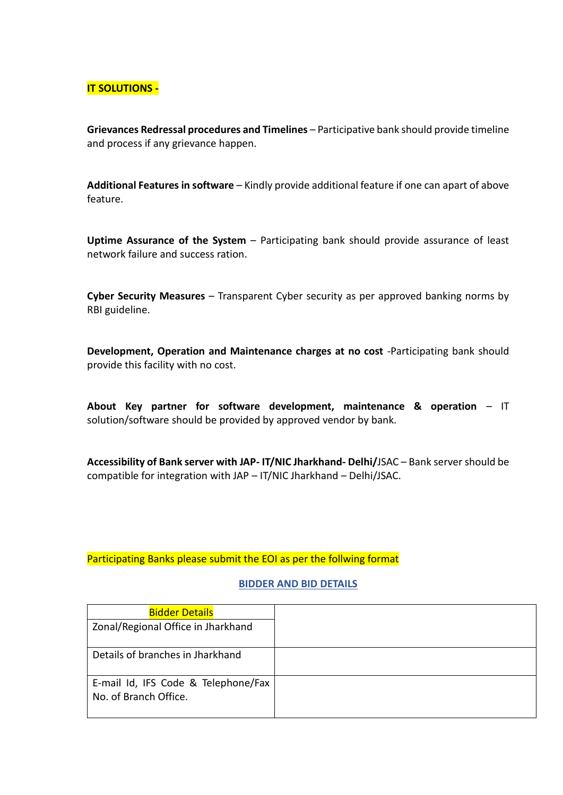### **IT SOLUTIONS -**

**Grievances Redressal procedures and Timelines** – Participative bank should provide timeline and process if any grievance happen.

**Additional Features in software** – Kindly provide additional feature if one can apart of above feature.

**Uptime Assurance of the System** – Participating bank should provide assurance of least network failure and success ration.

**Cyber Security Measures** – Transparent Cyber security as per approved banking norms by RBI guideline.

**Development, Operation and Maintenance charges at no cost** -Participating bank should provide this facility with no cost.

**About Key partner for software development, maintenance & operation** – IT solution/software should be provided by approved vendor by bank.

**Accessibility of Bank server with JAP- IT/NIC Jharkhand- Delhi/**JSAC – Bank server should be compatible for integration with JAP – IT/NIC Jharkhand – Delhi/JSAC.

Participating Banks please submit the EOI as per the follwing format

#### **BIDDER AND BID DETAILS**

| <b>Bidder Details</b>                                        |  |
|--------------------------------------------------------------|--|
| Zonal/Regional Office in Jharkhand                           |  |
| Details of branches in Jharkhand                             |  |
| E-mail Id, IFS Code & Telephone/Fax<br>No. of Branch Office. |  |